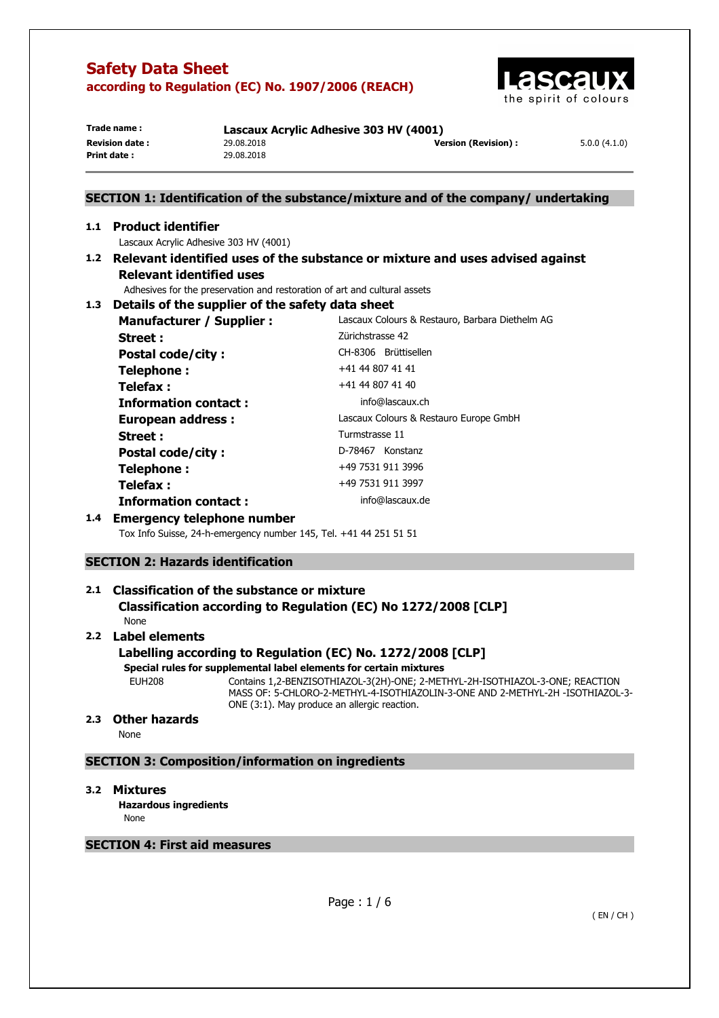

| Trade name:           | Lascaux Acrylic Adhesive 303 HV (4001) |                      |              |
|-----------------------|----------------------------------------|----------------------|--------------|
| <b>Revision date:</b> | 29.08.2018                             | Version (Revision) : | 5.0.0(4.1.0) |
| Print date:           | 29.08.2018                             |                      |              |

## **SECTION 1: Identification of the substance/mixture and of the company/ undertaking**

## **1.1 Product identifier**

Lascaux Acrylic Adhesive 303 HV (4001)

**1.2 Relevant identified uses of the substance or mixture and uses advised against Relevant identified uses** 

Adhesives for the preservation and restoration of art and cultural assets

## **1.3 Details of the supplier of the safety data sheet**

| <b>Manufacturer / Supplier:</b> | Lascaux Colours & Restauro, Barbara Diethelm AG |
|---------------------------------|-------------------------------------------------|
| <b>Street:</b>                  | Zürichstrasse 42                                |
| <b>Postal code/city:</b>        | CH-8306 Brüttisellen                            |
| Telephone:                      | +41 44 807 41 41                                |
| Telefax :                       | +41 44 807 41 40                                |
| <b>Information contact:</b>     | info@lascaux.ch                                 |
| <b>European address:</b>        | Lascaux Colours & Restauro Europe GmbH          |
| Street :                        | Turmstrasse 11                                  |
| <b>Postal code/city:</b>        | D-78467 Konstanz                                |
| Telephone:                      | +49 7531 911 3996                               |
| <b>Telefax:</b>                 | +49 7531 911 3997                               |
| <b>Information contact:</b>     | info@lascaux.de                                 |

## **1.4 Emergency telephone number**

Tox Info Suisse, 24-h-emergency number 145, Tel. +41 44 251 51 51

## **SECTION 2: Hazards identification**

## **2.1 Classification of the substance or mixture Classification according to Regulation (EC) No 1272/2008 [CLP]**

## None

## **2.2 Label elements**

## **Labelling according to Regulation (EC) No. 1272/2008 [CLP]**

**Special rules for supplemental label elements for certain mixtures** 

EUH208 Contains 1,2-BENZISOTHIAZOL-3(2H)-ONE; 2-METHYL-2H-ISOTHIAZOL-3-ONE; REACTION MASS OF: 5-CHLORO-2-METHYL-4-ISOTHIAZOLIN-3-ONE AND 2-METHYL-2H -ISOTHIAZOL-3- ONE (3:1). May produce an allergic reaction.

## **2.3 Other hazards**

None

## **SECTION 3: Composition/information on ingredients**

#### **3.2 Mixtures**

**Hazardous ingredients** None

## **SECTION 4: First aid measures**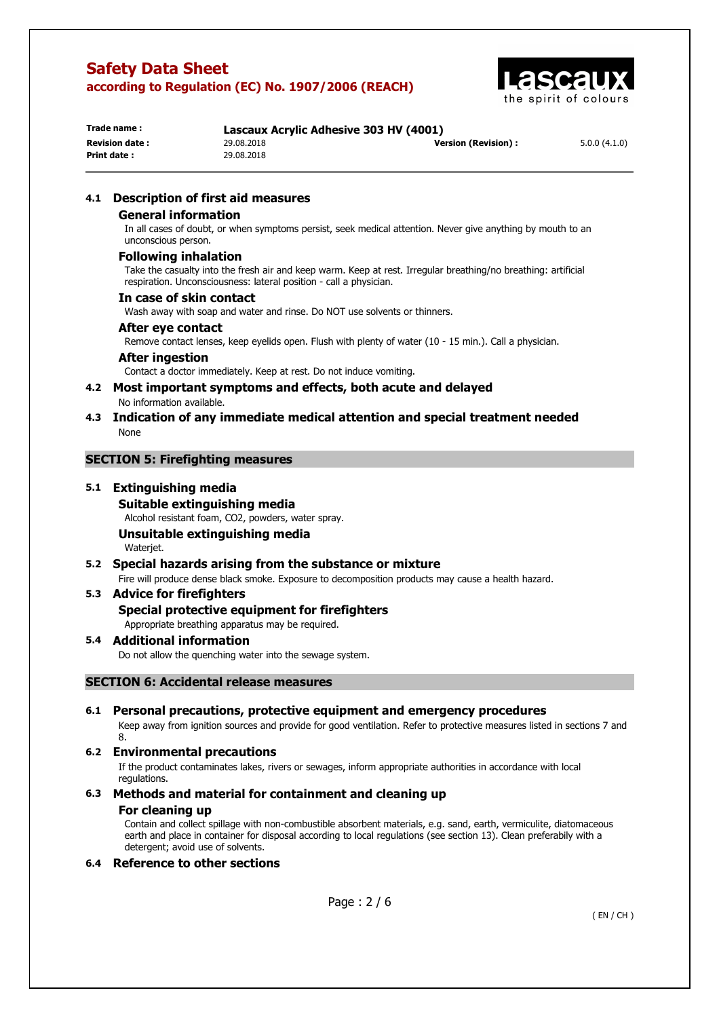

| Trade name:            | Lascaux Acrylic Adhesive 303 HV (4001) |                      |              |
|------------------------|----------------------------------------|----------------------|--------------|
| <b>Revision date :</b> | 29.08.2018                             | Version (Revision) : | 5.0.0(4.1.0) |
| Print date :           | 29.08.2018                             |                      |              |

## **4.1 Description of first aid measures**

#### **General information**

In all cases of doubt, or when symptoms persist, seek medical attention. Never give anything by mouth to an unconscious person.

#### **Following inhalation**

Take the casualty into the fresh air and keep warm. Keep at rest. Irregular breathing/no breathing: artificial respiration. Unconsciousness: lateral position - call a physician.

## **In case of skin contact**

Wash away with soap and water and rinse. Do NOT use solvents or thinners.

#### **After eye contact**

Remove contact lenses, keep eyelids open. Flush with plenty of water (10 - 15 min.). Call a physician.

#### **After ingestion**

Contact a doctor immediately. Keep at rest. Do not induce vomiting.

- **4.2 Most important symptoms and effects, both acute and delayed**  No information available.
- **4.3 Indication of any immediate medical attention and special treatment needed**  None

## **SECTION 5: Firefighting measures**

## **5.1 Extinguishing media**

**Suitable extinguishing media** 

Alcohol resistant foam, CO2, powders, water spray.

## **Unsuitable extinguishing media**

Waterjet.

## **5.2 Special hazards arising from the substance or mixture**

Fire will produce dense black smoke. Exposure to decomposition products may cause a health hazard.

## **5.3 Advice for firefighters**

## **Special protective equipment for firefighters**

Appropriate breathing apparatus may be required.

**5.4 Additional information** 

Do not allow the quenching water into the sewage system.

## **SECTION 6: Accidental release measures**

## **6.1 Personal precautions, protective equipment and emergency procedures**

Keep away from ignition sources and provide for good ventilation. Refer to protective measures listed in sections 7 and 8.

## **6.2 Environmental precautions**

If the product contaminates lakes, rivers or sewages, inform appropriate authorities in accordance with local regulations.

## **6.3 Methods and material for containment and cleaning up**

## **For cleaning up**

Contain and collect spillage with non-combustible absorbent materials, e.g. sand, earth, vermiculite, diatomaceous earth and place in container for disposal according to local regulations (see section 13). Clean preferabily with a detergent; avoid use of solvents.

## **6.4 Reference to other sections**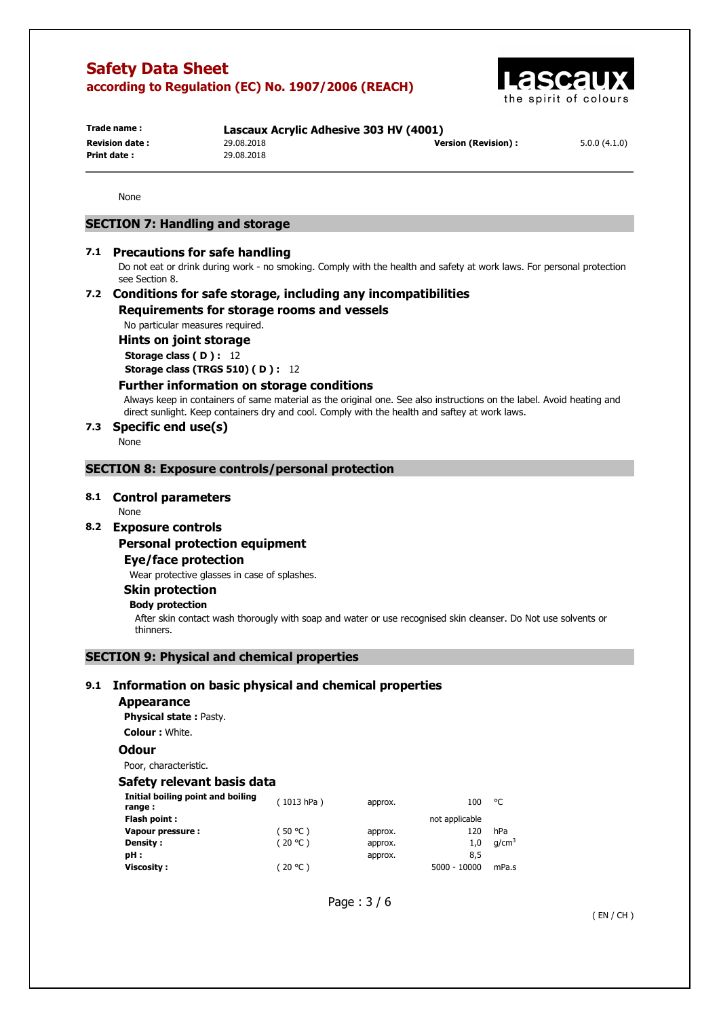

| Trade name :          |            | Lascaux Acrylic Adhesive 303 HV (4001) |              |  |
|-----------------------|------------|----------------------------------------|--------------|--|
| <b>Revision date:</b> | 29.08.2018 | Version (Revision) :                   | 5.0.0(4.1.0) |  |
| Print date:           | 29.08.2018 |                                        |              |  |
|                       |            |                                        |              |  |

None

## **SECTION 7: Handling and storage**

#### **7.1 Precautions for safe handling**

Do not eat or drink during work - no smoking. Comply with the health and safety at work laws. For personal protection see Section 8.

## **7.2 Conditions for safe storage, including any incompatibilities**

**Requirements for storage rooms and vessels** 

No particular measures required.

**Hints on joint storage** 

**Storage class ( D ) :** 12

**Storage class (TRGS 510) ( D ) :** 12

#### **Further information on storage conditions**

Always keep in containers of same material as the original one. See also instructions on the label. Avoid heating and direct sunlight. Keep containers dry and cool. Comply with the health and saftey at work laws.

#### **7.3 Specific end use(s)**

None

## **SECTION 8: Exposure controls/personal protection**

#### **8.1 Control parameters**

None

**8.2 Exposure controls** 

#### **Personal protection equipment**

#### **Eye/face protection**

Wear protective glasses in case of splashes.

### **Skin protection**

#### **Body protection**

After skin contact wash thorougly with soap and water or use recognised skin cleanser. Do Not use solvents or thinners.

#### **SECTION 9: Physical and chemical properties**

## **9.1 Information on basic physical and chemical properties**

#### **Appearance**

 **Physical state :** Pasty. **Colour :** White.

#### **Odour**

Poor, characteristic.

#### **Safety relevant basis data**

| Initial boiling point and boiling<br>range: | (1013 hPa) | approx. | 100            | °C                |
|---------------------------------------------|------------|---------|----------------|-------------------|
| Flash point:                                |            |         | not applicable |                   |
| Vapour pressure :                           | (50 °C )   | approx. | 120            | hPa               |
| Density:                                    | (20 °C)    | approx. | 1.0            | q/cm <sup>3</sup> |
| pH :                                        |            | approx. | 8,5            |                   |
| <b>Viscosity :</b>                          | (20 °C )   |         | $5000 - 10000$ | mPa.s             |

Page : 3 / 6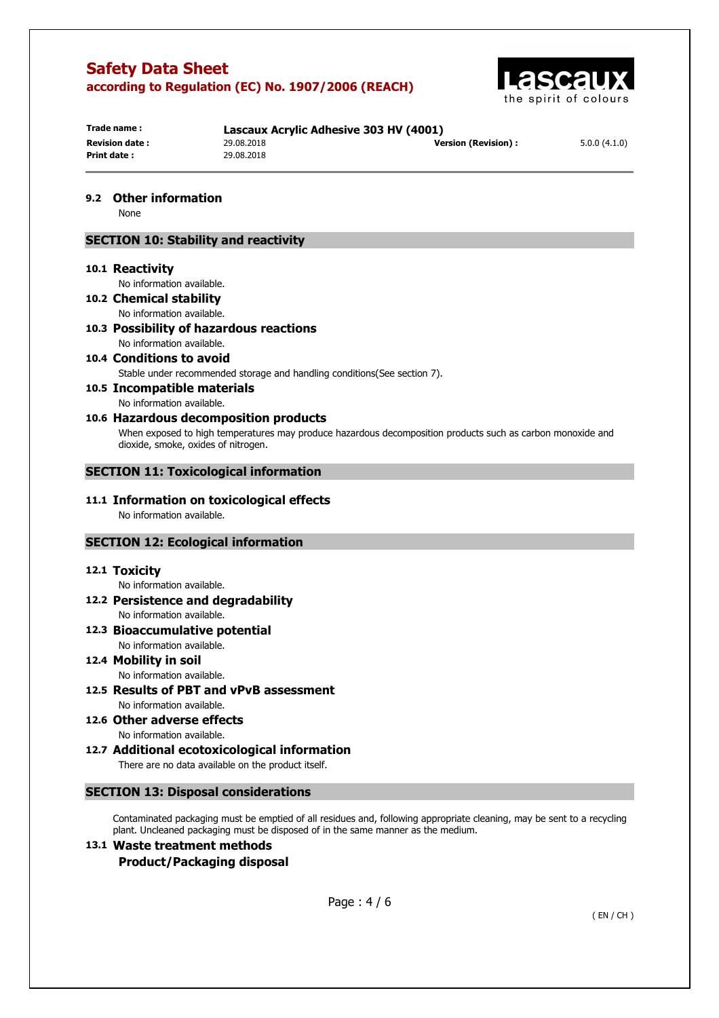

| Trade name:            |            | Lascaux Acrylic Adhesive 303 HV (4001) |              |  |
|------------------------|------------|----------------------------------------|--------------|--|
| <b>Revision date :</b> | 29.08.2018 | Version (Revision) :                   | 5.0.0(4.1.0) |  |
| Print date :           | 29.08.2018 |                                        |              |  |

**9.2 Other information** 

None

## **SECTION 10: Stability and reactivity**

#### **10.1 Reactivity**

No information available.

- **10.2 Chemical stability**  No information available.
- **10.3 Possibility of hazardous reactions**  No information available.
- **10.4 Conditions to avoid**  Stable under recommended storage and handling conditions(See section 7).

# **10.5 Incompatible materials**

No information available.

## **10.6 Hazardous decomposition products**

When exposed to high temperatures may produce hazardous decomposition products such as carbon monoxide and dioxide, smoke, oxides of nitrogen.

## **SECTION 11: Toxicological information**

**11.1 Information on toxicological effects**  No information available.

## **SECTION 12: Ecological information**

#### **12.1 Toxicity**

No information available.

- **12.2 Persistence and degradability**  No information available.
- **12.3 Bioaccumulative potential**
- No information available. **12.4 Mobility in soil**

# No information available.

**12.5 Results of PBT and vPvB assessment**  No information available.

**12.6 Other adverse effects** 

No information available. **12.7 Additional ecotoxicological information** 

There are no data available on the product itself.

## **SECTION 13: Disposal considerations**

Contaminated packaging must be emptied of all residues and, following appropriate cleaning, may be sent to a recycling plant. Uncleaned packaging must be disposed of in the same manner as the medium.

## **13.1 Waste treatment methods Product/Packaging disposal**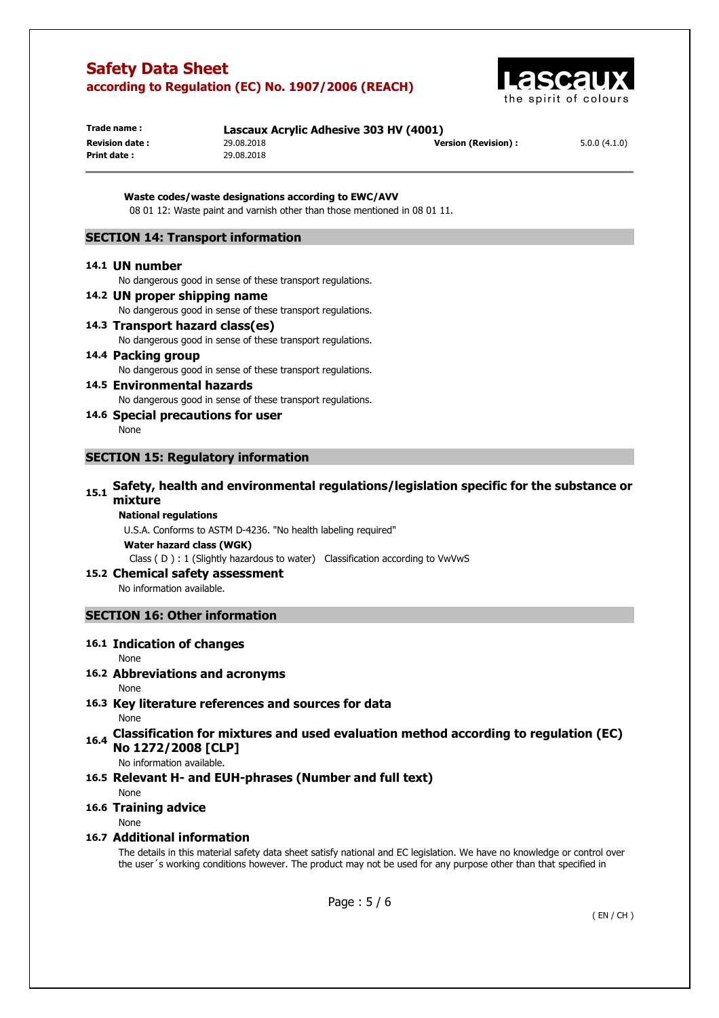

| Trade name:            | Lascaux Acrylic Adhesive 303 HV (4001) |                            |              |
|------------------------|----------------------------------------|----------------------------|--------------|
| <b>Revision date :</b> | 29.08.2018                             | <b>Version (Revision):</b> | 5.0.0(4.1.0) |
| Print date :           | 29.08.2018                             |                            |              |

**Waste codes/waste designations according to EWC/AVV**  08 01 12: Waste paint and varnish other than those mentioned in 08 01 11.

## **SECTION 14: Transport information**

#### **14.1 UN number**

No dangerous good in sense of these transport regulations.

**14.2 UN proper shipping name**  No dangerous good in sense of these transport regulations. **14.3 Transport hazard class(es)** 

No dangerous good in sense of these transport regulations.

- **14.4 Packing group**  No dangerous good in sense of these transport regulations.
- **14.5 Environmental hazards**  No dangerous good in sense of these transport regulations.
- **14.6 Special precautions for user**  None

## **SECTION 15: Regulatory information**

## **15.1 Safety, health and environmental regulations/legislation specific for the substance or mixture**

#### **National regulations**

U.S.A. Conforms to ASTM D-4236. "No health labeling required"

**Water hazard class (WGK)** 

Class ( D ) : 1 (Slightly hazardous to water) Classification according to VwVwS

#### **15.2 Chemical safety assessment**

No information available.

## **SECTION 16: Other information**

## **16.1 Indication of changes**

## None

## **16.2 Abbreviations and acronyms**

#### None

**16.3 Key literature references and sources for data** 

None

**16.4 Classification for mixtures and used evaluation method according to regulation (EC) No 1272/2008 [CLP]** 

No information available.

## **16.5 Relevant H- and EUH-phrases (Number and full text)**

None

## **16.6 Training advice**

None

## **16.7 Additional information**

The details in this material safety data sheet satisfy national and EC legislation. We have no knowledge or control over the user´s working conditions however. The product may not be used for any purpose other than that specified in